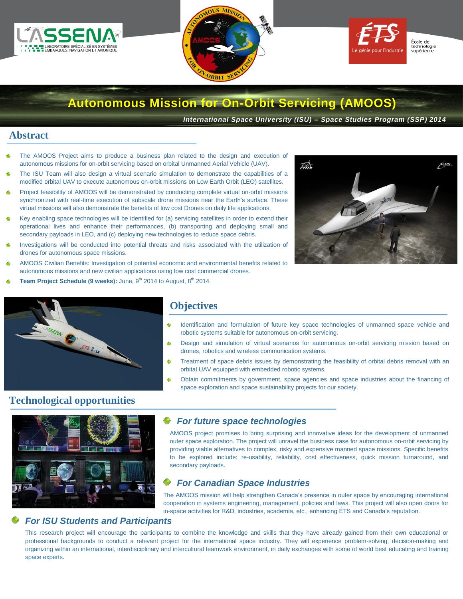





# **Autonomous Mission for On-Orbit Servicing (AMOOS)**

*International Space University (ISU) – Space Studies Program (SSP) 2014*

## **Abstract**

- The AMOOS Project aims to produce a business plan related to the design and execution of autonomous missions for on-orbit servicing based on orbital Unmanned Aerial Vehicle (UAV).
- The ISU Team will also design a virtual scenario simulation to demonstrate the capabilities of a modified orbital UAV to execute autonomous on-orbit missions on Low Earth Orbit (LEO) satellites.
- Project feasibility of AMOOS will be demonstrated by conducting complete virtual on-orbit missions synchronized with real-time execution of subscale drone missions near the Earth's surface. These virtual missions will also demonstrate the benefits of low cost Drones on daily life applications.
- Key enabling space technologies will be identified for (a) servicing satellites in order to extend their operational lives and enhance their performances, (b) transporting and deploying small and secondary payloads in LEO, and (c) deploying new technologies to reduce space debris.
- Investigations will be conducted into potential threats and risks associated with the utilization of drones for autonomous space missions.
- AMOOS Civilian Benefits: Investigation of potential economic and environmental benefits related to autonomous missions and new civilian applications using low cost commercial drones.
- **Team Project Schedule (9 weeks):** June, 9<sup>th</sup> 2014 to August, 8<sup>th</sup> 2014.





## **Objectives**

- 銮 Identification and formulation of future key space technologies of unmanned space vehicle and robotic systems suitable for autonomous on-orbit servicing.
- 銮 Design and simulation of virtual scenarios for autonomous on-orbit servicing mission based on drones, robotics and wireless communication systems.
- Treatment of space debris issues by demonstrating the feasibility of orbital debris removal with an á, orbital UAV equipped with embedded robotic systems.
- Obtain commitments by government, space agencies and space industries about the financing of space exploration and space sustainability projects for our society.

# **Technological opportunities**



## *For future space technologies*

AMOOS project promises to bring surprising and innovative ideas for the development of unmanned outer space exploration. The project will unravel the business case for autonomous on-orbit servicing by providing viable alternatives to complex, risky and expensive manned space missions. Specific benefits to be explored include: re-usability, reliability, cost effectiveness, quick mission turnaround, and secondary payloads.

## *For Canadian Space Industries*

The AMOOS mission will help strengthen Canada's presence in outer space by encouraging international cooperation in systems engineering, management, policies and laws. This project will also open doors for in-space activities for R&D, industries, academia, etc., enhancing ÉTS and Canada's reputation.

### *For ISU Students and Participants*

This research project will encourage the participants to combine the knowledge and skills that they have already gained from their own educational or professional backgrounds to conduct a relevant project for the international space industry. They will experience problem-solving, decision-making and organizing within an international, interdisciplinary and intercultural teamwork environment, in daily exchanges with some of world best educating and training space experts.